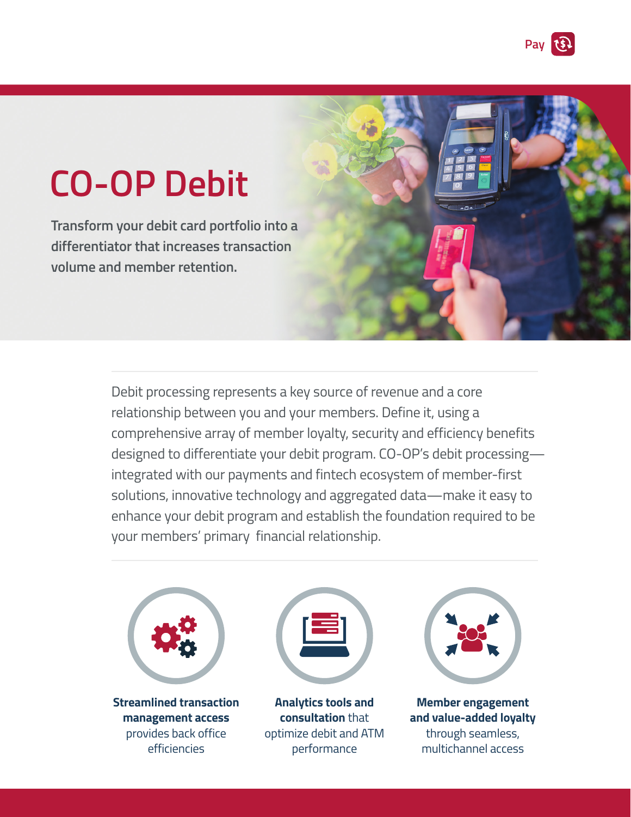

# **CO-OP Debit**

**Transform your debit card portfolio into a differentiator that increases transaction volume and member retention.**

> Debit processing represents a key source of revenue and a core relationship between you and your members. Define it, using a comprehensive array of member loyalty, security and efficiency benefits designed to differentiate your debit program. CO-OP's debit processing integrated with our payments and fintech ecosystem of member-first solutions, innovative technology and aggregated data—make it easy to enhance your debit program and establish the foundation required to be your members' primary financial relationship.



**Streamlined transaction management access**  provides back office efficiencies



**Analytics tools and consultation** that optimize debit and ATM performance



**Member engagement and value-added loyalty**  through seamless, multichannel access